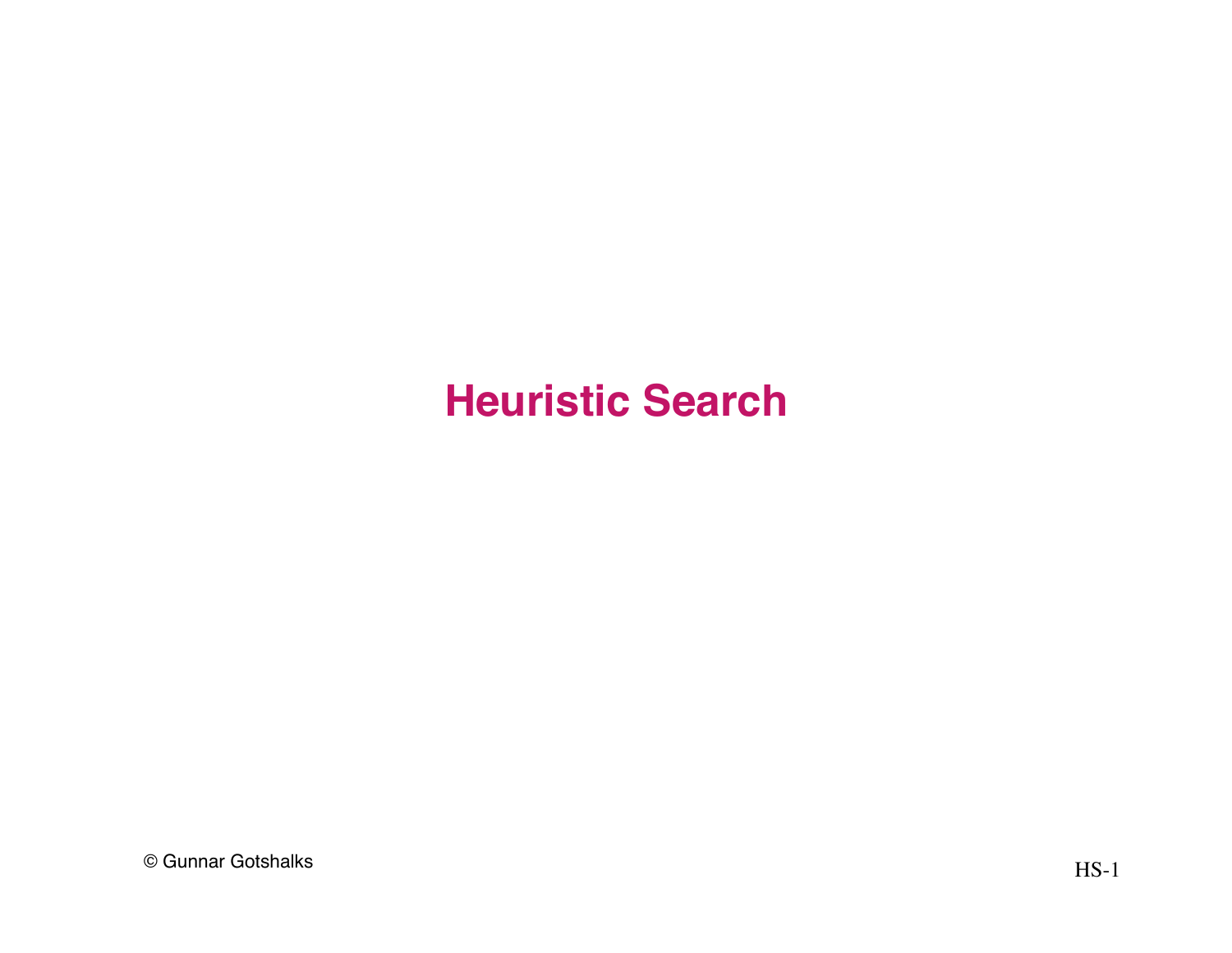## **Heuristic Search**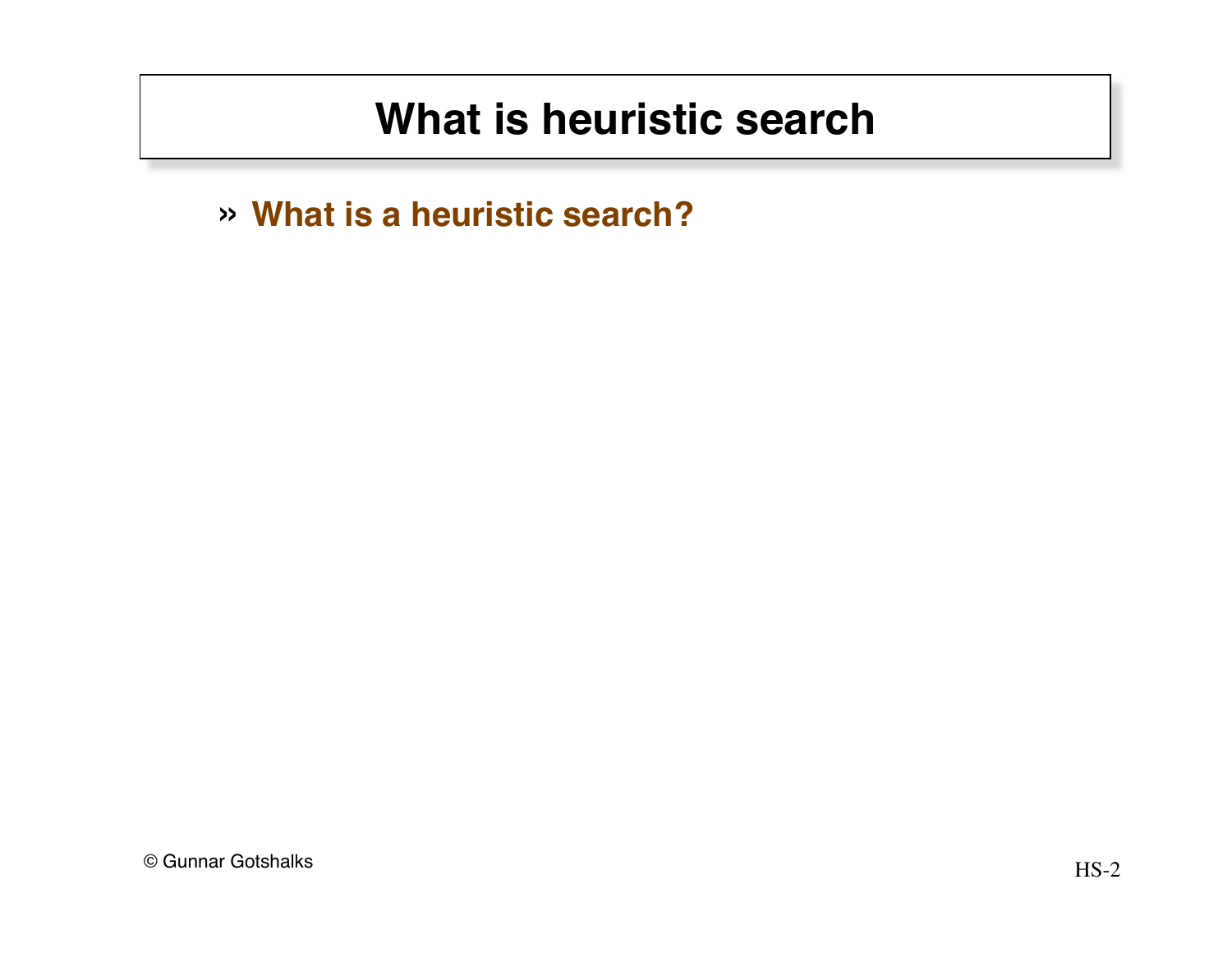## **What is heuristic search**

» **What is a heuristic search?**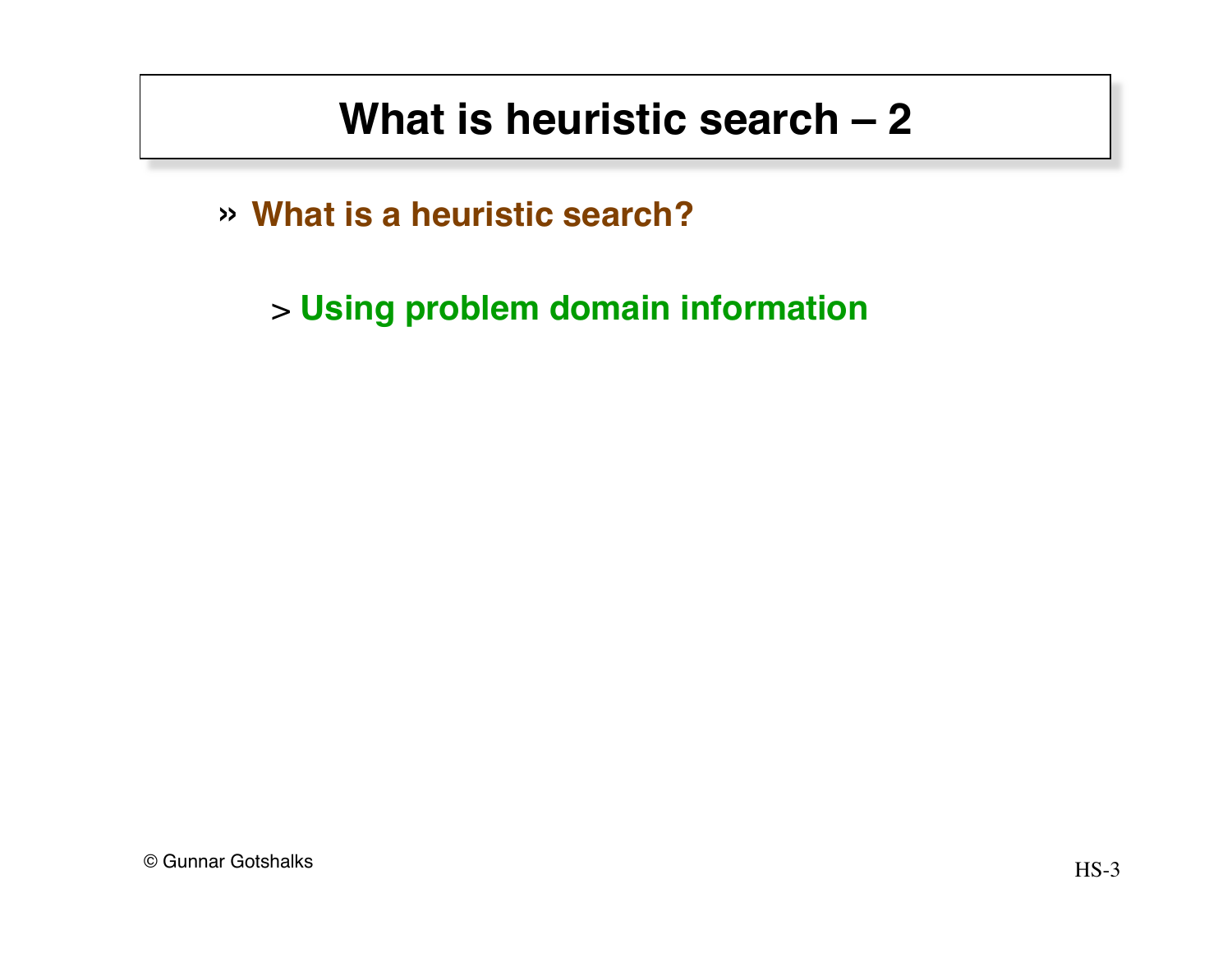## **What is heuristic search – 2**

» **What is a heuristic search?**

> **Using problem domain information**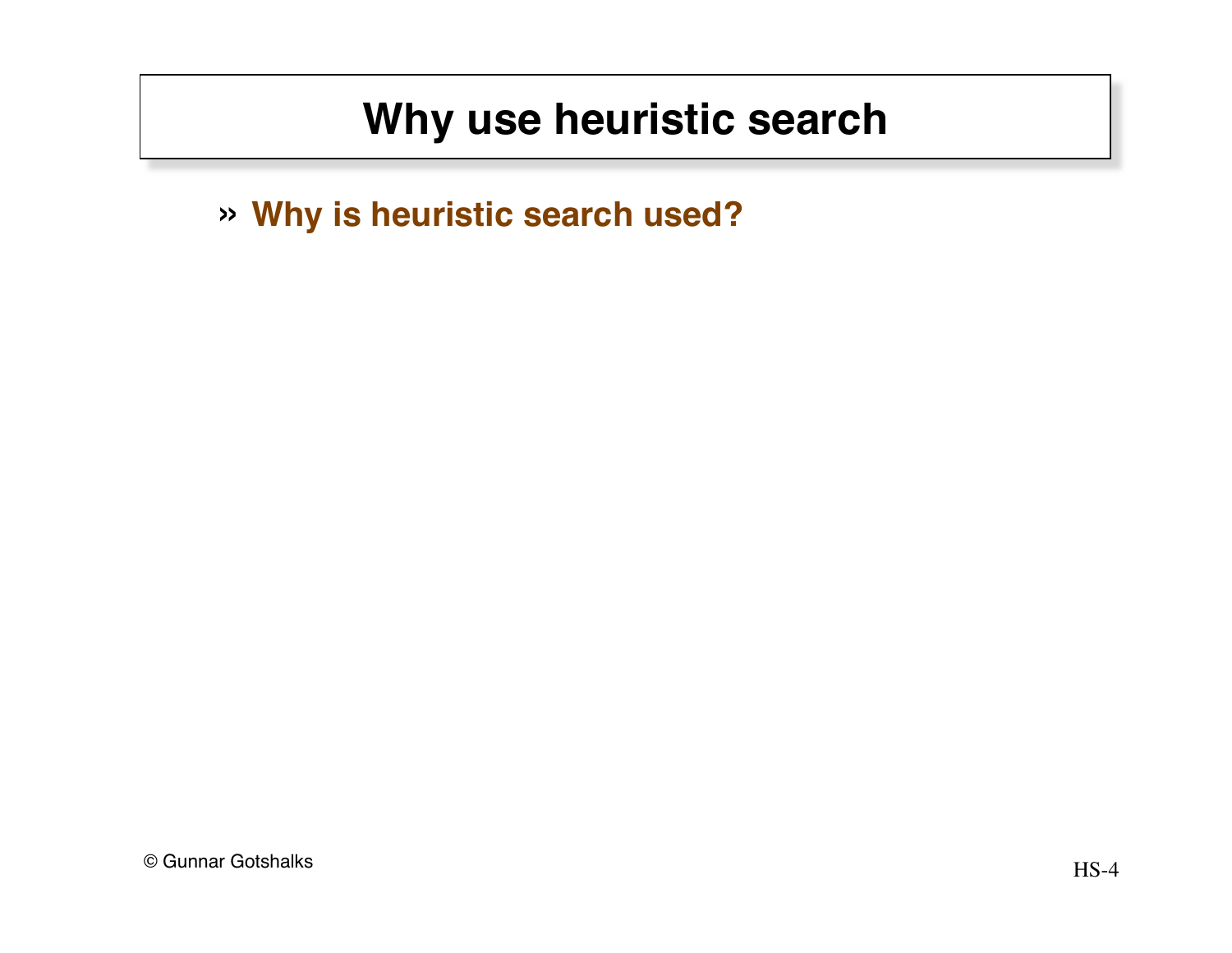# **Why use heuristic search**

» **Why is heuristic search used?**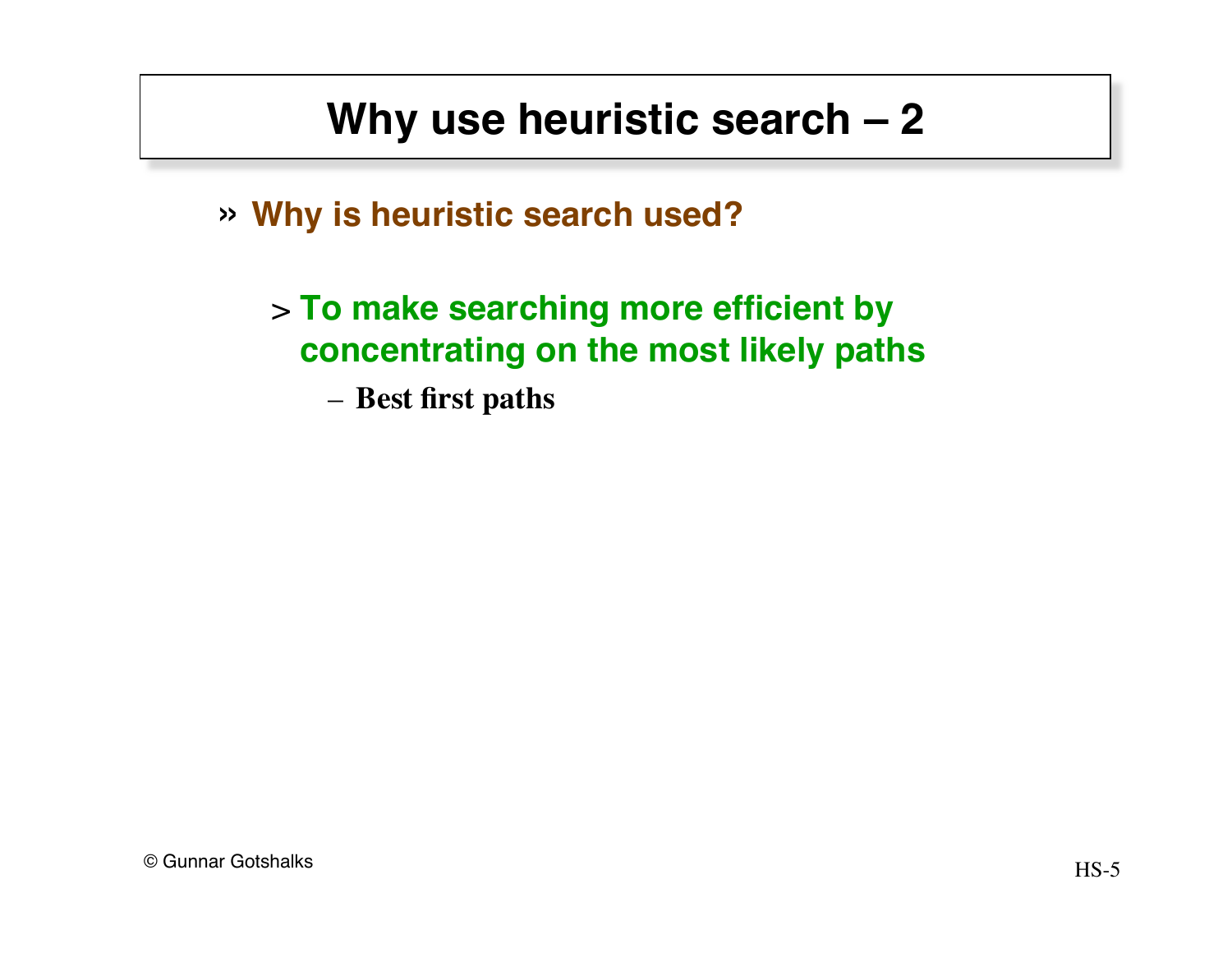# **Why use heuristic search – 2**

» **Why is heuristic search used?**

> **To make searching more efficient by concentrating on the most likely paths**

– **Best first paths**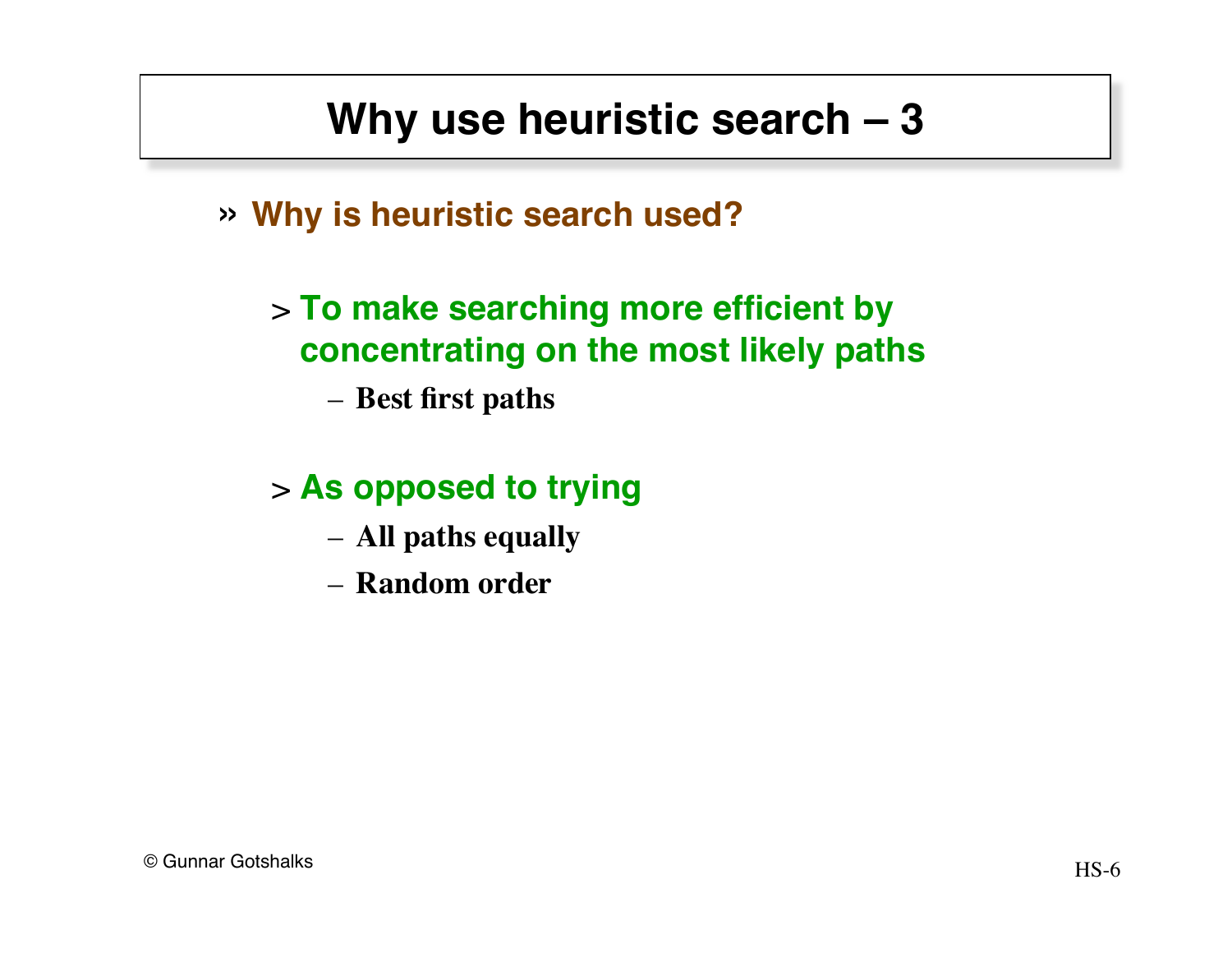## **Why use heuristic search – 3**

» **Why is heuristic search used?**

#### > **To make searching more efficient by concentrating on the most likely paths**

– **Best first paths** 

#### > **As opposed to trying**

- **All paths equally**
- **Random order**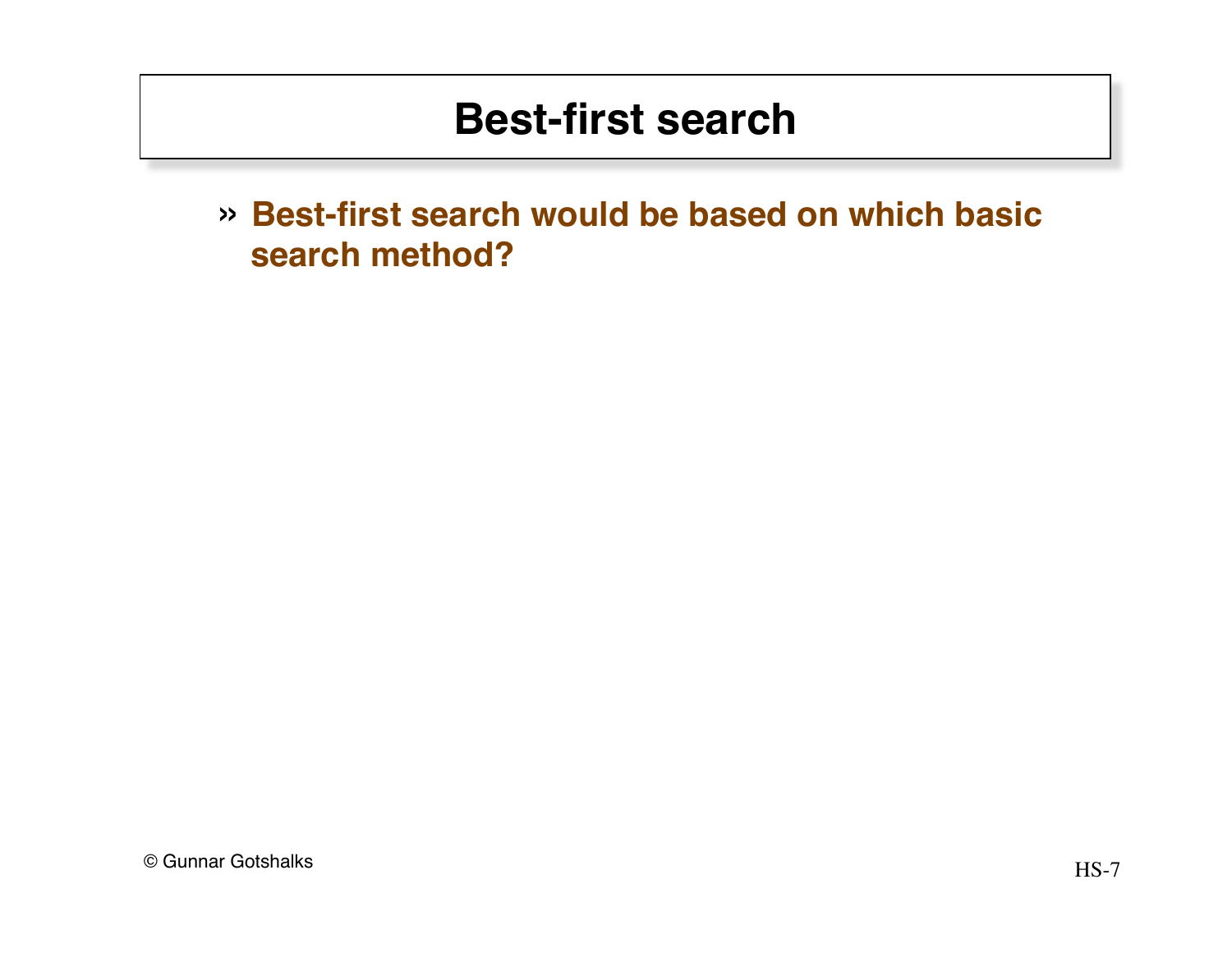» **Best-first search would be based on which basic search method?**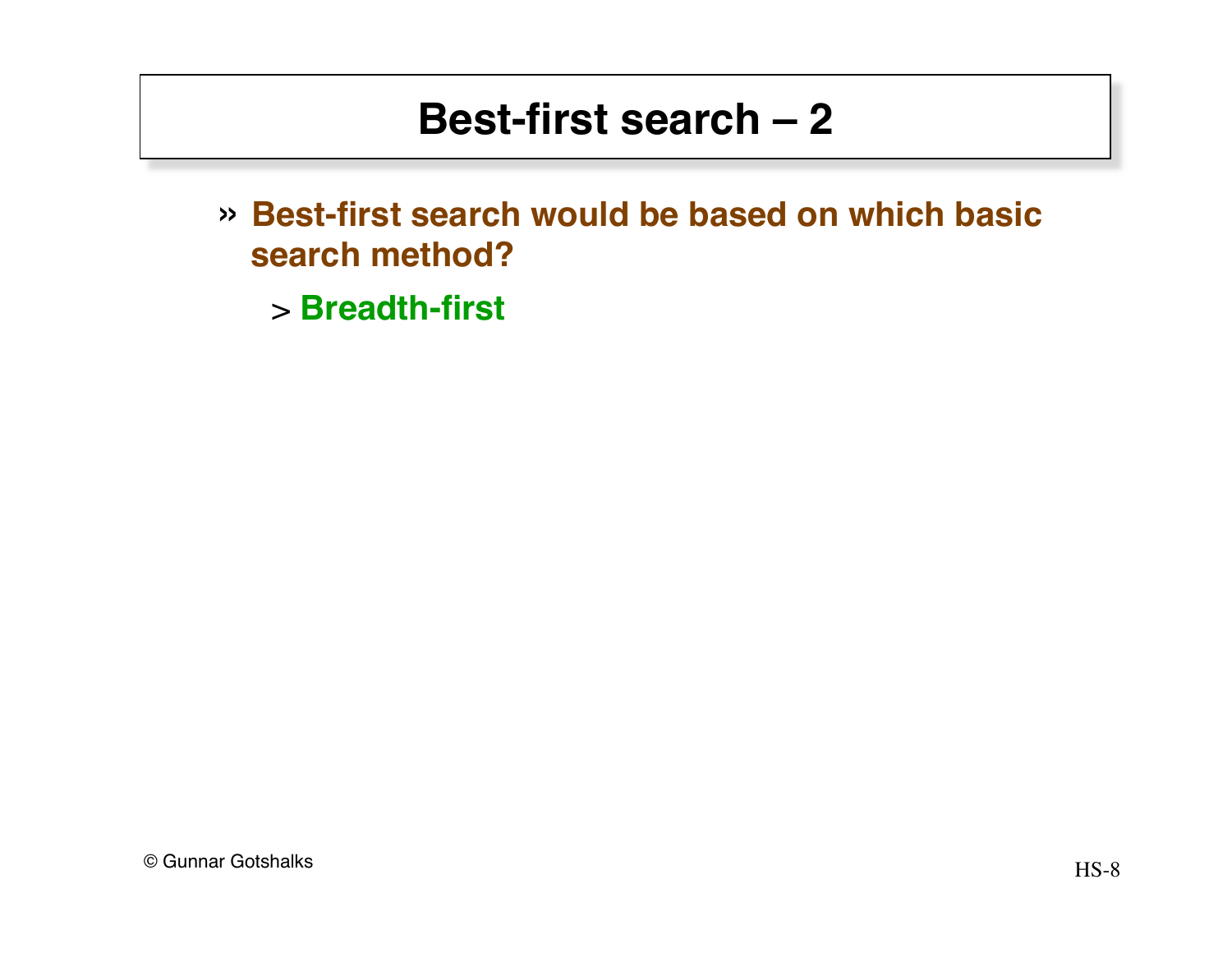- » **Best-first search would be based on which basic search method?**
	- > **Breadth-first**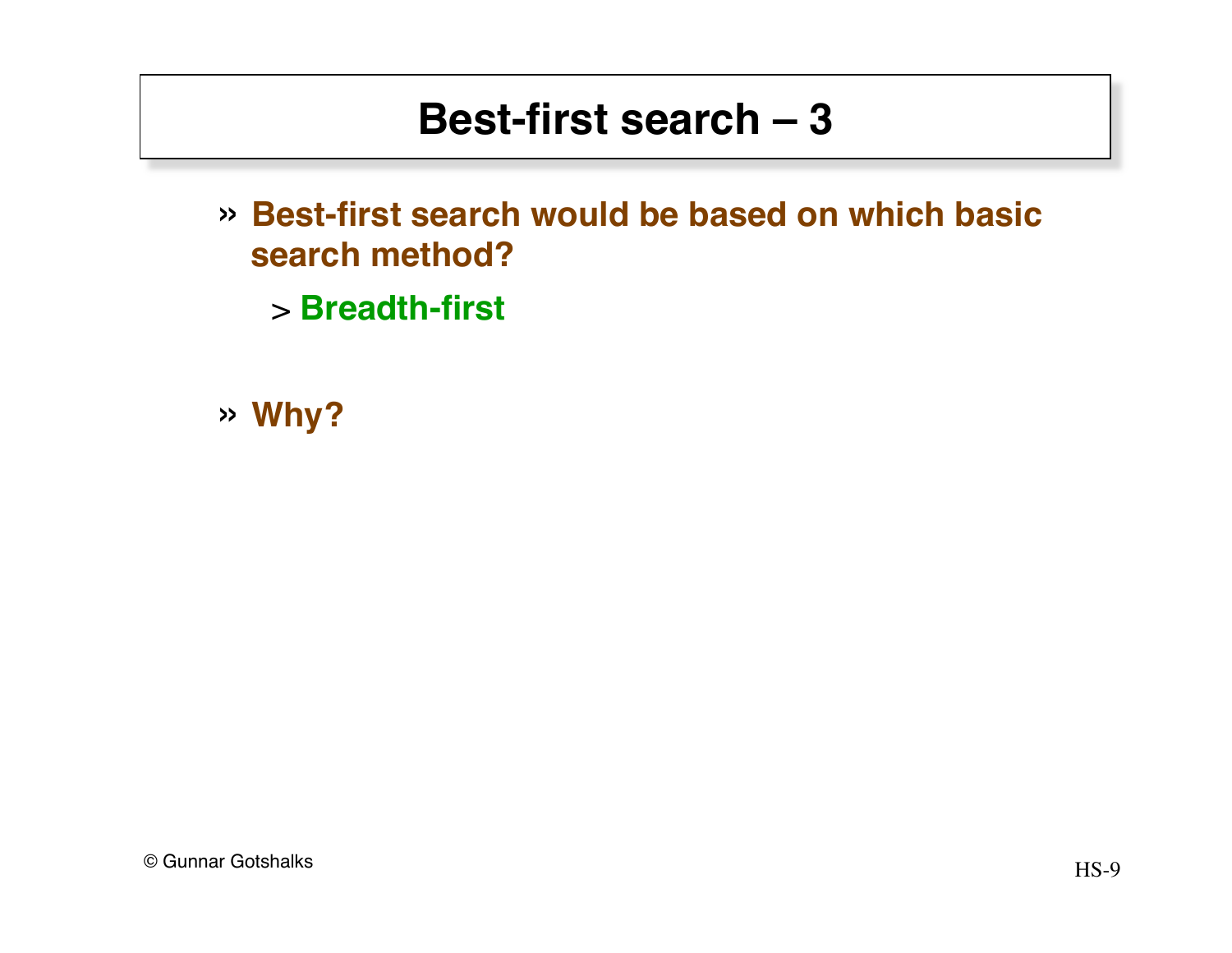- » **Best-first search would be based on which basic search method?**
	- > **Breadth-first**

» **Why?**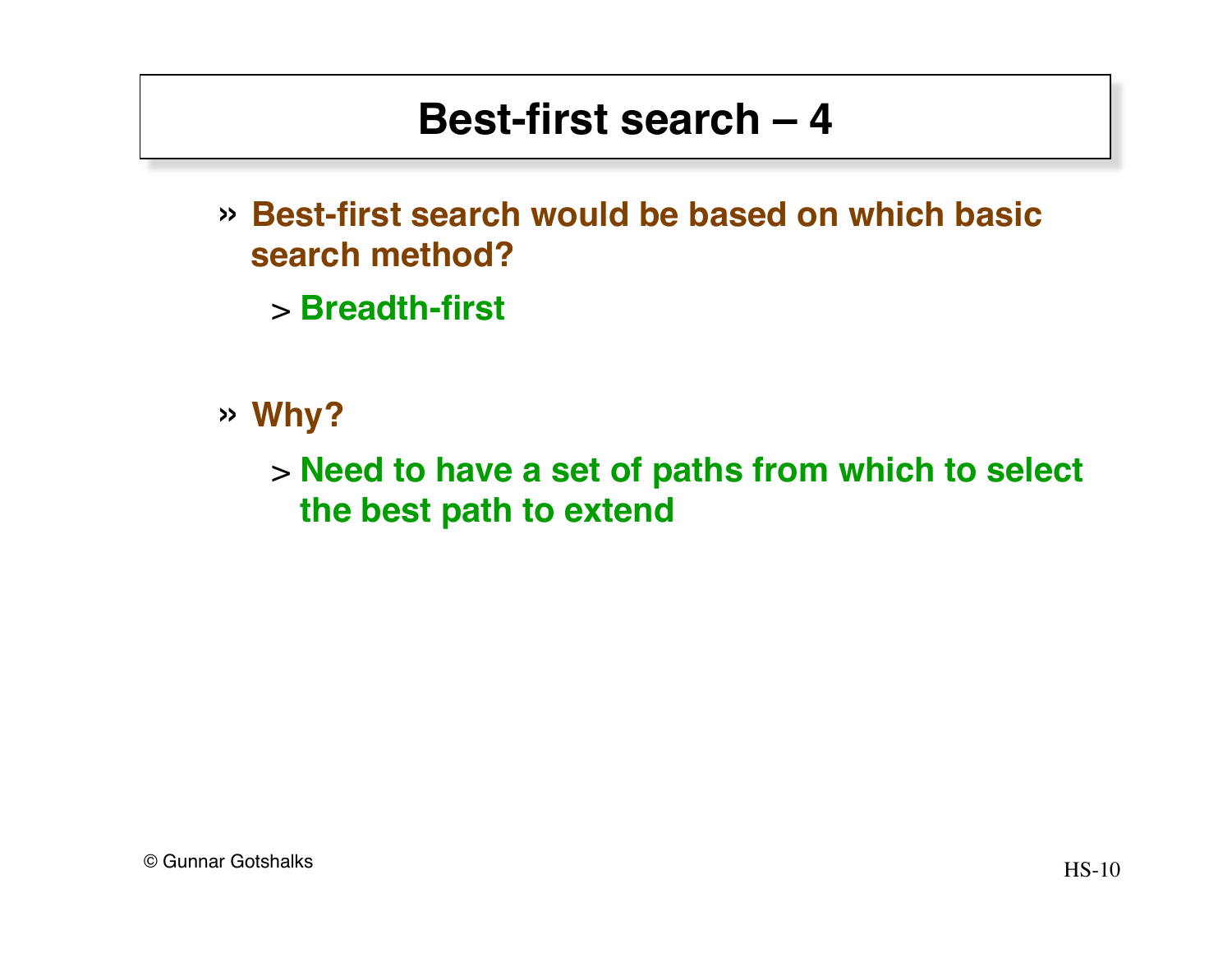- » **Best-first search would be based on which basic search method?**
	- > **Breadth-first**
- » **Why?**

> **Need to have a set of paths from which to select the best path to extend**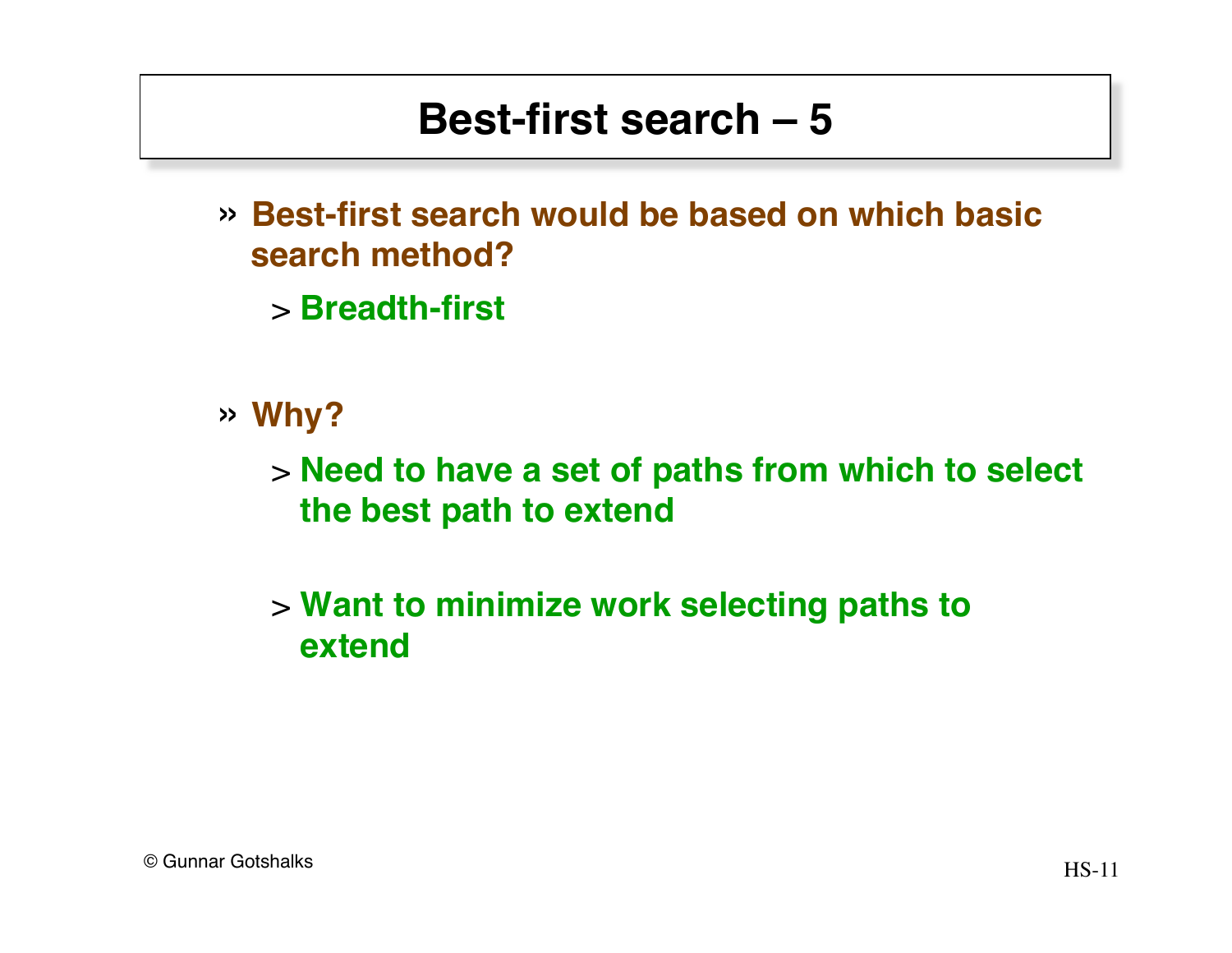- » **Best-first search would be based on which basic search method?**
	- > **Breadth-first**
- » **Why?**

> **Need to have a set of paths from which to select the best path to extend**

#### > **Want to minimize work selecting paths to extend**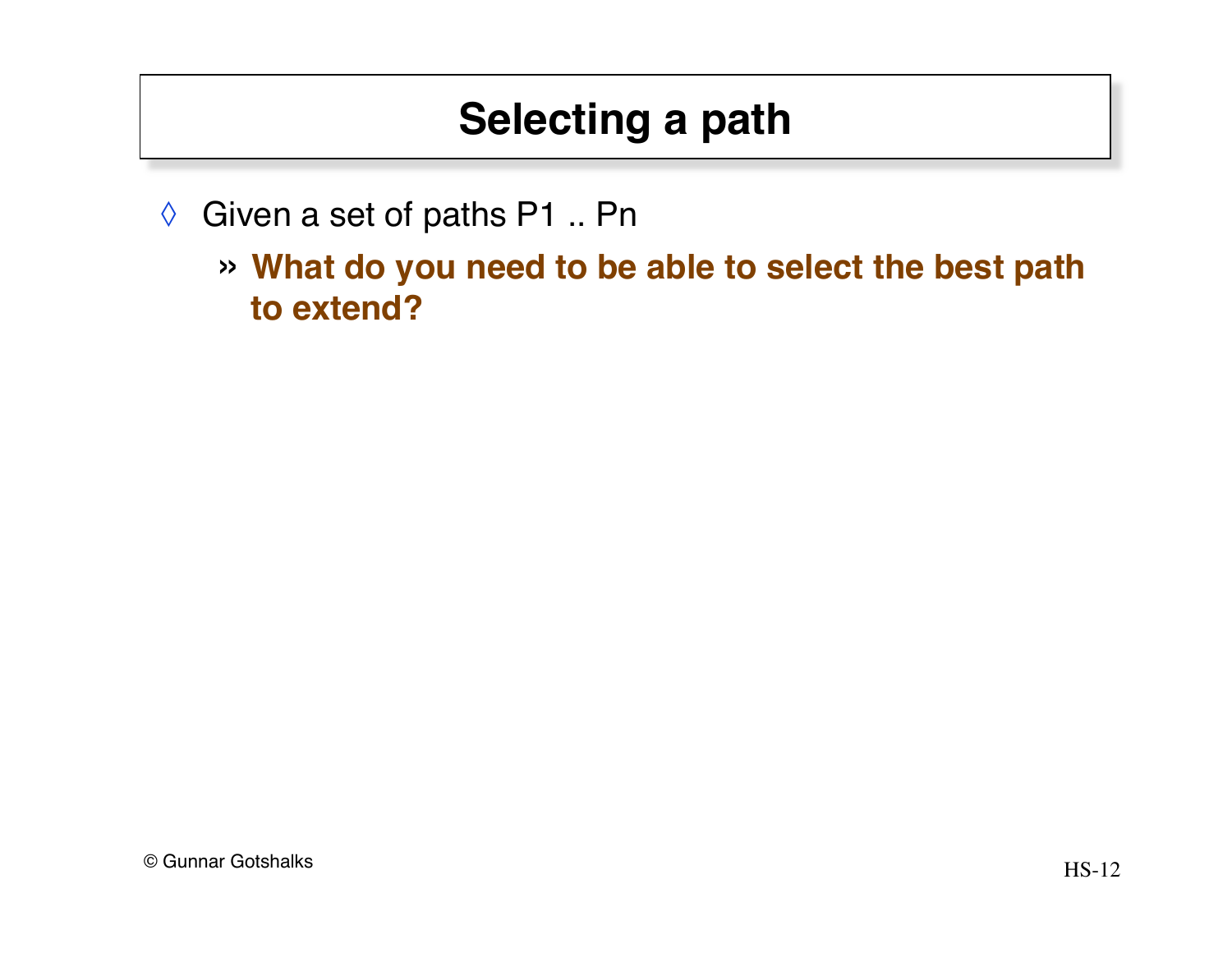# **Selecting a path**

◊ Given a set of paths P1 .. Pn

» **What do you need to be able to select the best path to extend?**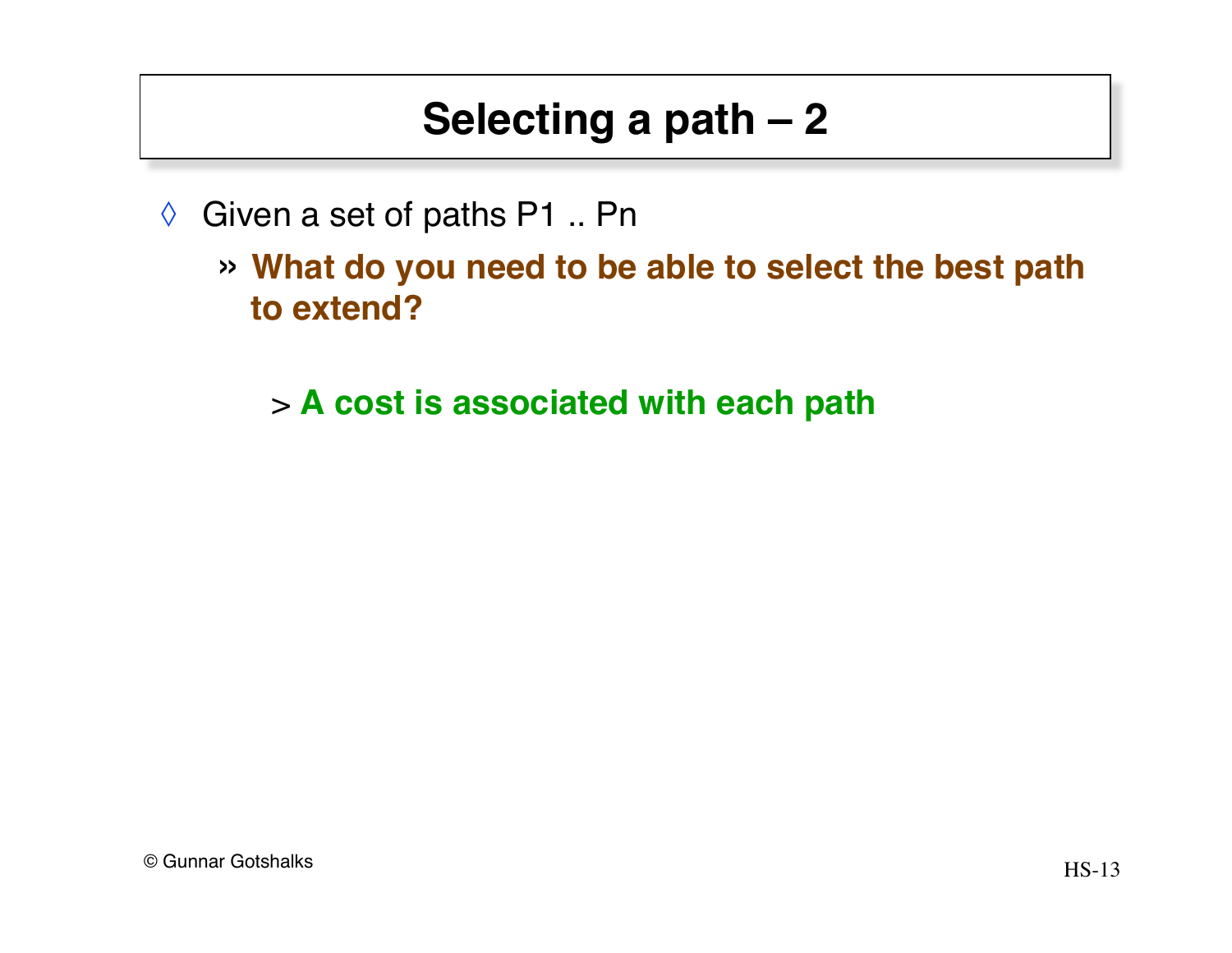# **Selecting a path – 2**

- ◊ Given a set of paths P1 .. Pn
	- » **What do you need to be able to select the best path to extend?**
		- > **A cost is associated with each path**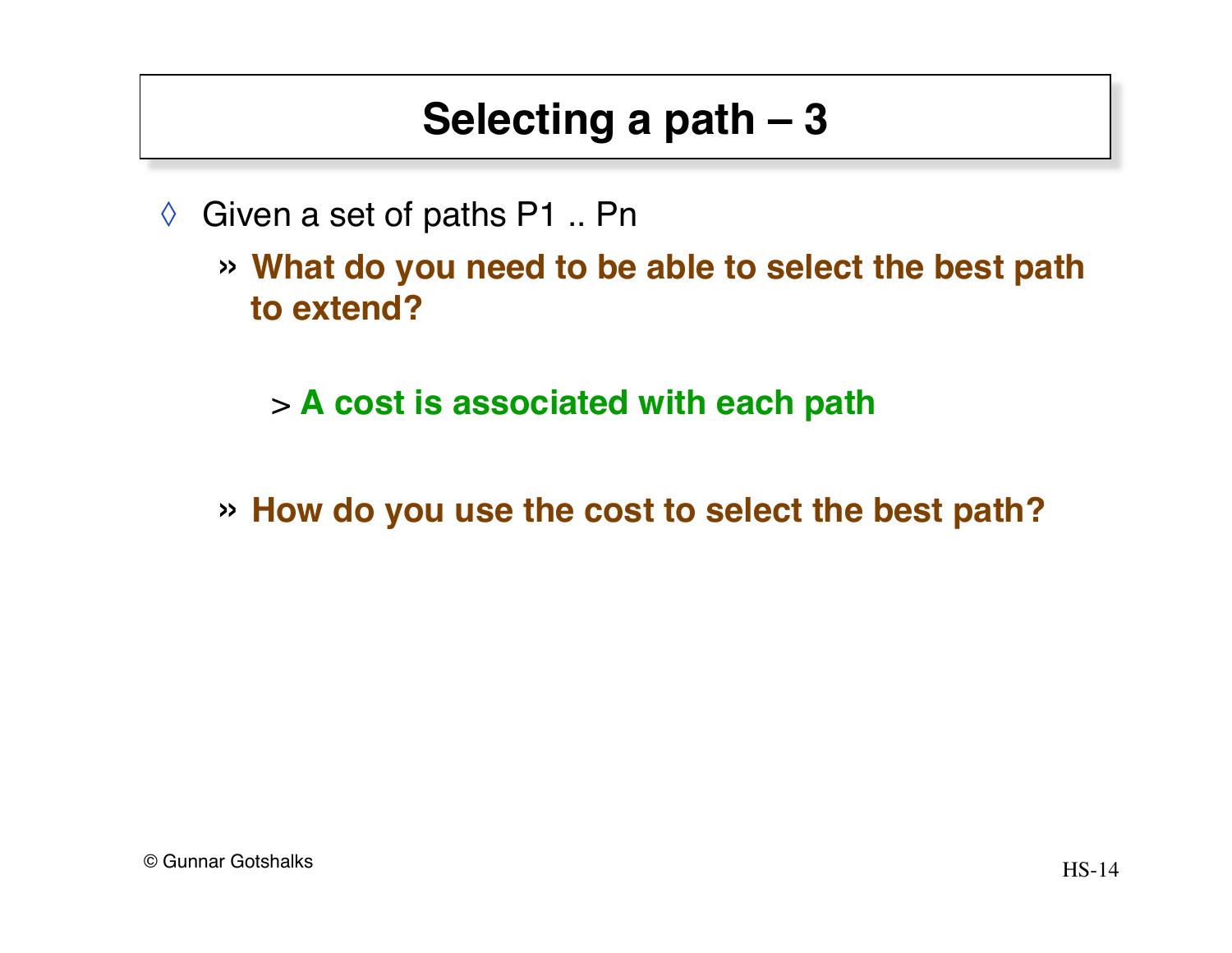## **Selecting a path – 3**

- $\Diamond$  Given a set of paths P1 .. Pn
	- » **What do you need to be able to select the best path to extend?**
		- > **A cost is associated with each path**
	- » **How do you use the cost to select the best path?**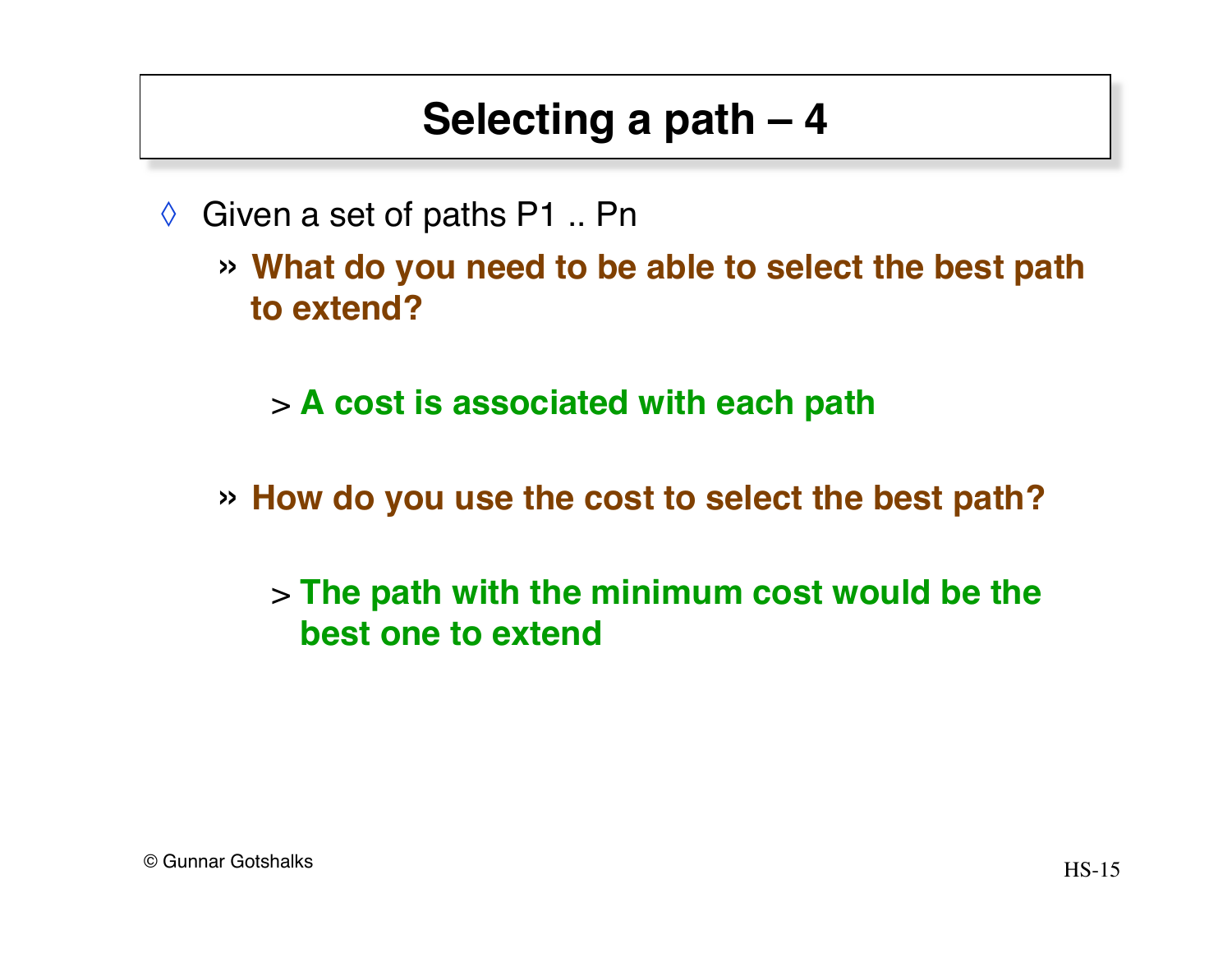## **Selecting a path – 4**

- $\Diamond$  Given a set of paths P1 .. Pn
	- » **What do you need to be able to select the best path to extend?**

> **A cost is associated with each path**

» **How do you use the cost to select the best path?**

> **The path with the minimum cost would be the best one to extend**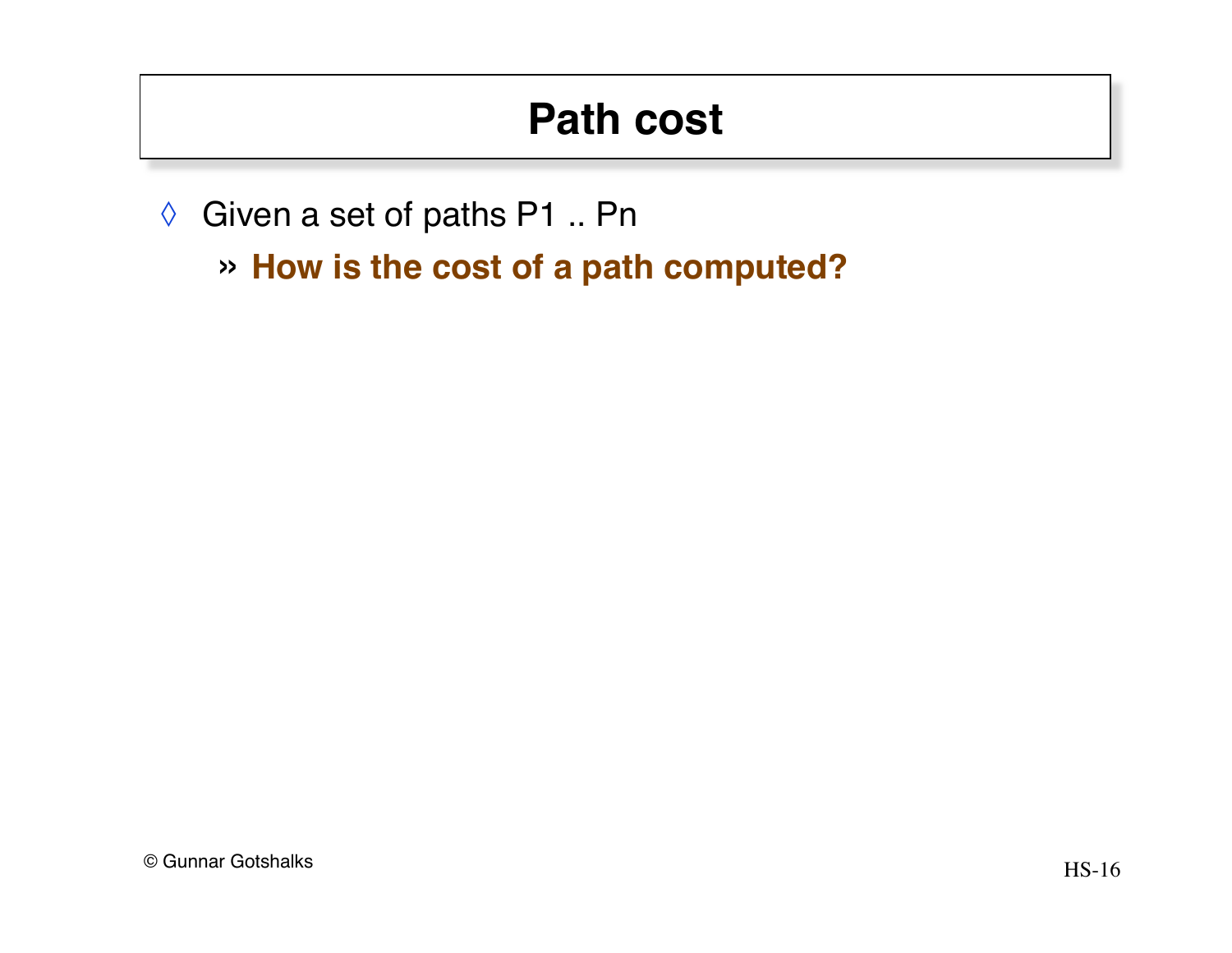# **Path cost**

- ◊ Given a set of paths P1 .. Pn
	- » **How is the cost of a path computed?**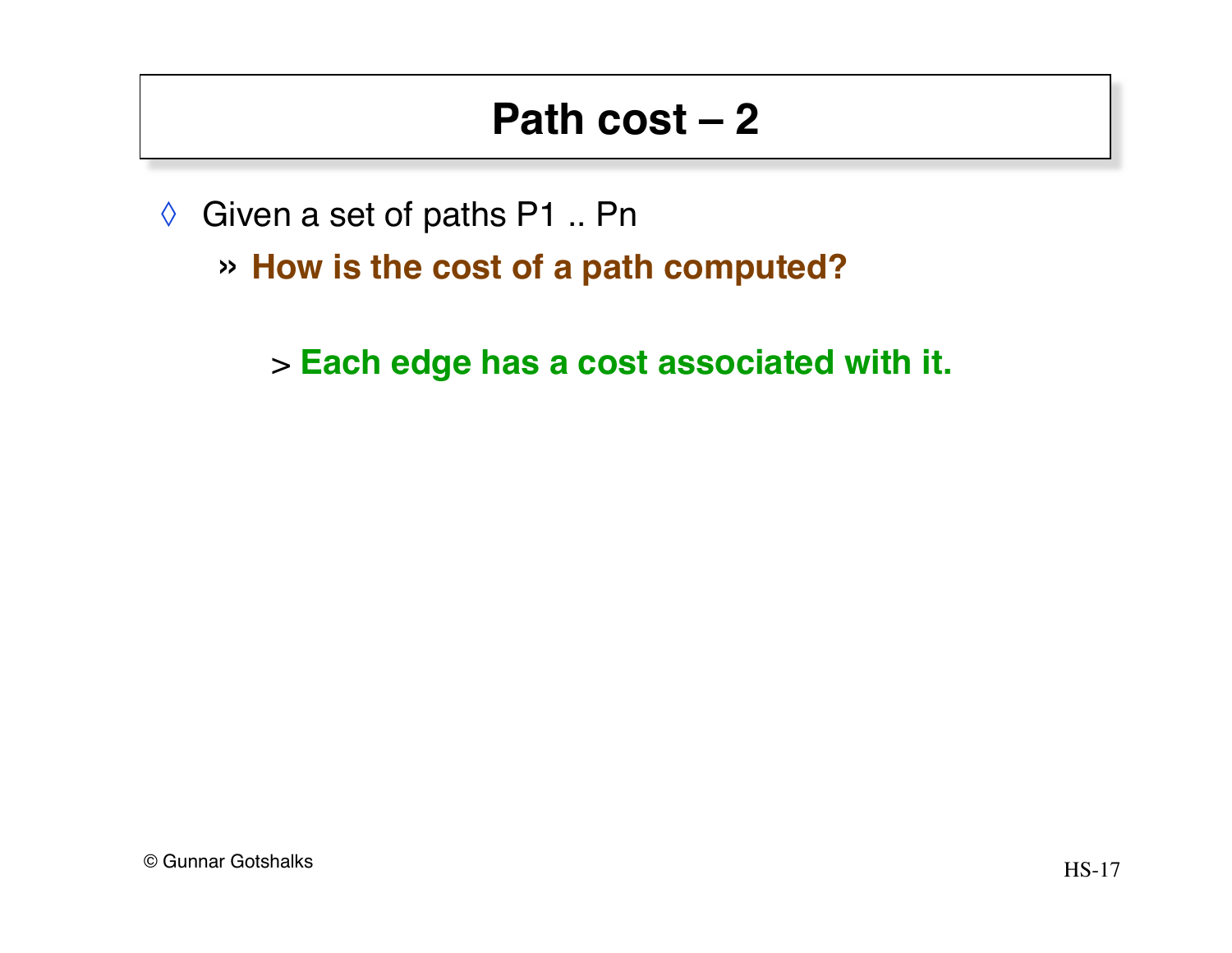- ◊ Given a set of paths P1 .. Pn
	- » **How is the cost of a path computed?**

> **Each edge has a cost associated with it.**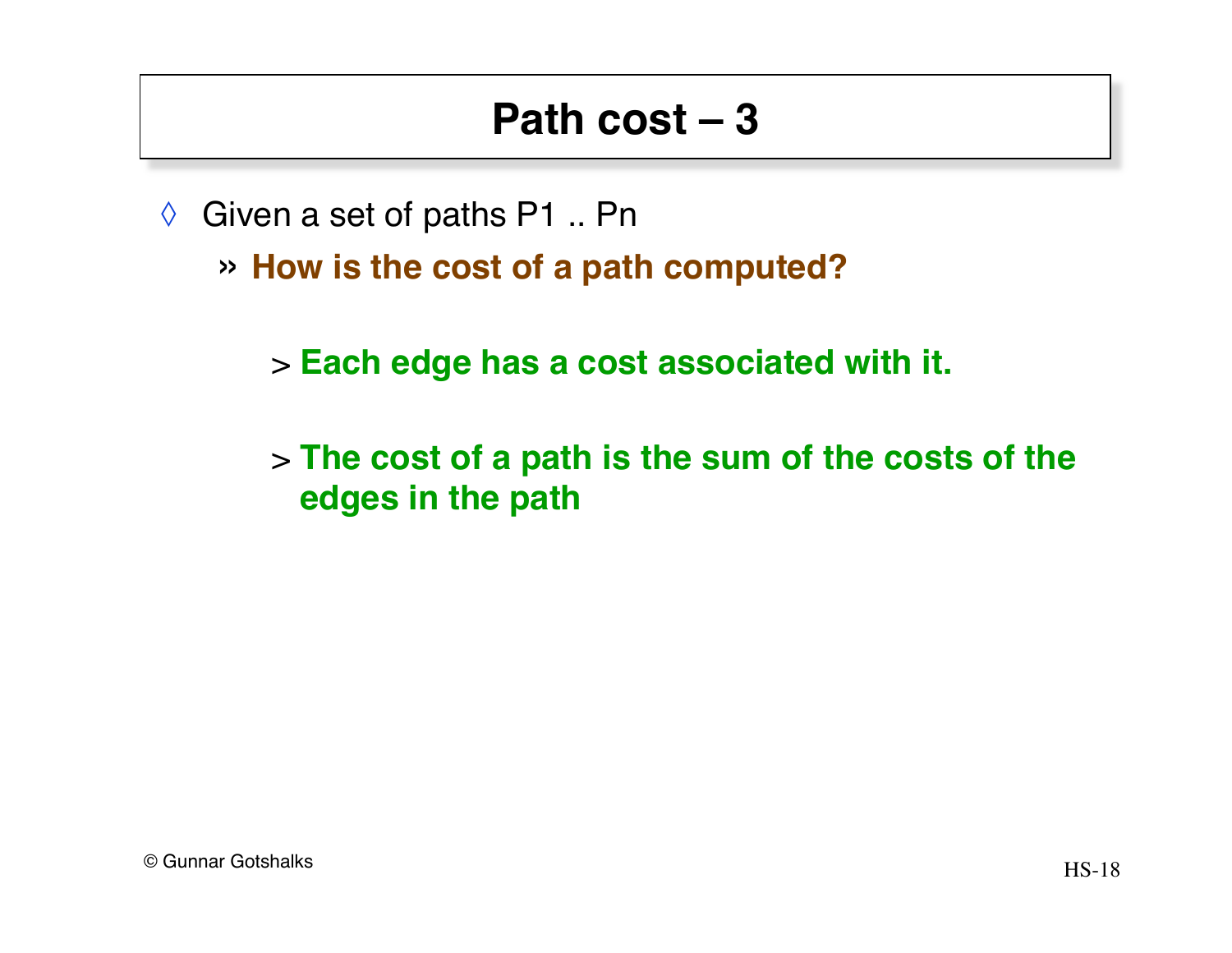- $\Diamond$  Given a set of paths P1 .. Pn
	- » **How is the cost of a path computed?**
		- > **Each edge has a cost associated with it.**
		- > **The cost of a path is the sum of the costs of the edges in the path**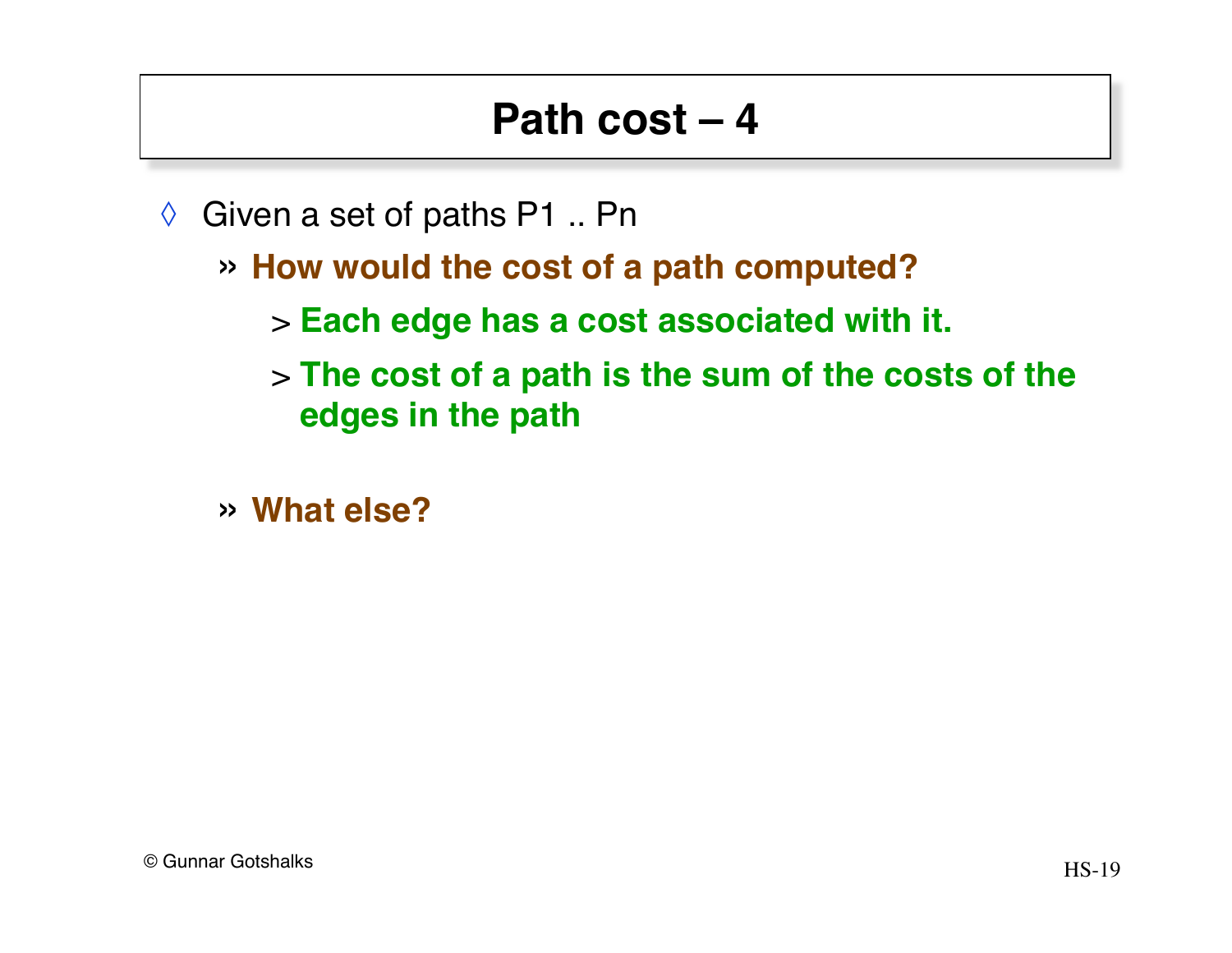- $\Diamond$  Given a set of paths P1 .. Pn
	- » **How would the cost of a path computed?**
		- > **Each edge has a cost associated with it.**
		- > **The cost of a path is the sum of the costs of the edges in the path**
	- » **What else?**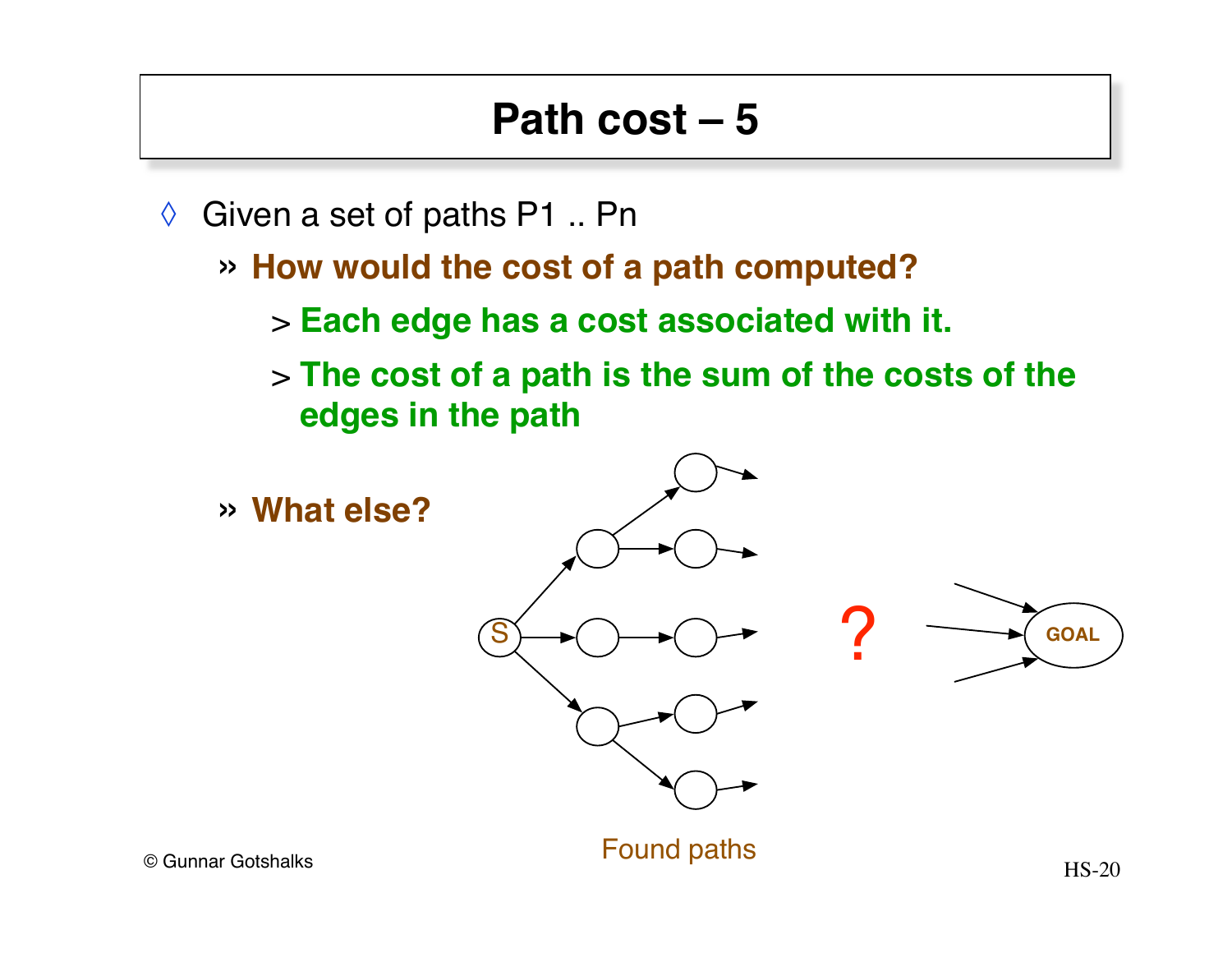- $\Diamond$  Given a set of paths P1 .. Pn
	- » **How would the cost of a path computed?**
		- > **Each edge has a cost associated with it.**
		- > **The cost of a path is the sum of the costs of the edges in the path**

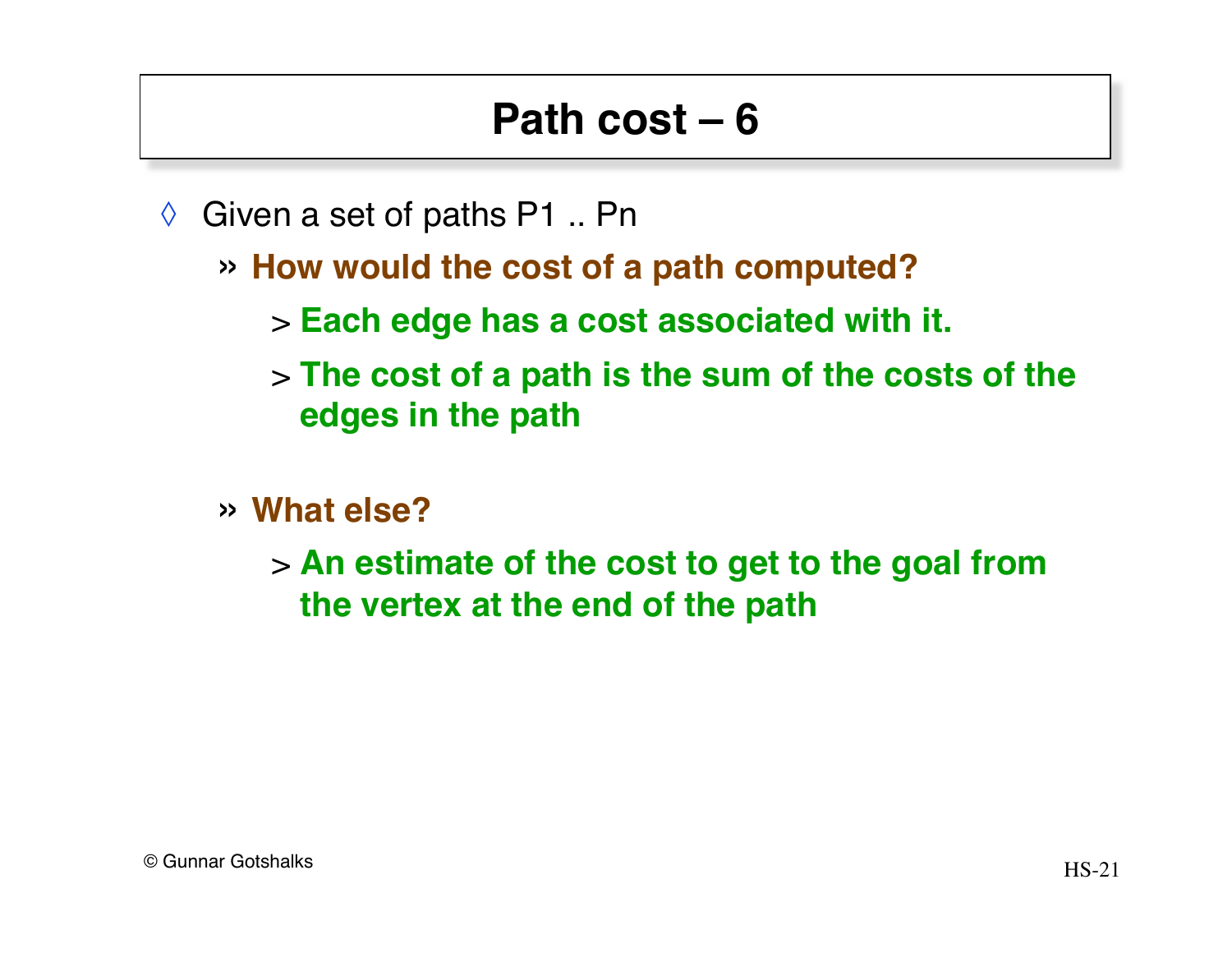- $\Diamond$  Given a set of paths P1 .. Pn
	- » **How would the cost of a path computed?**
		- > **Each edge has a cost associated with it.**
		- > **The cost of a path is the sum of the costs of the edges in the path**
	- » **What else?**
		- > **An estimate of the cost to get to the goal from the vertex at the end of the path**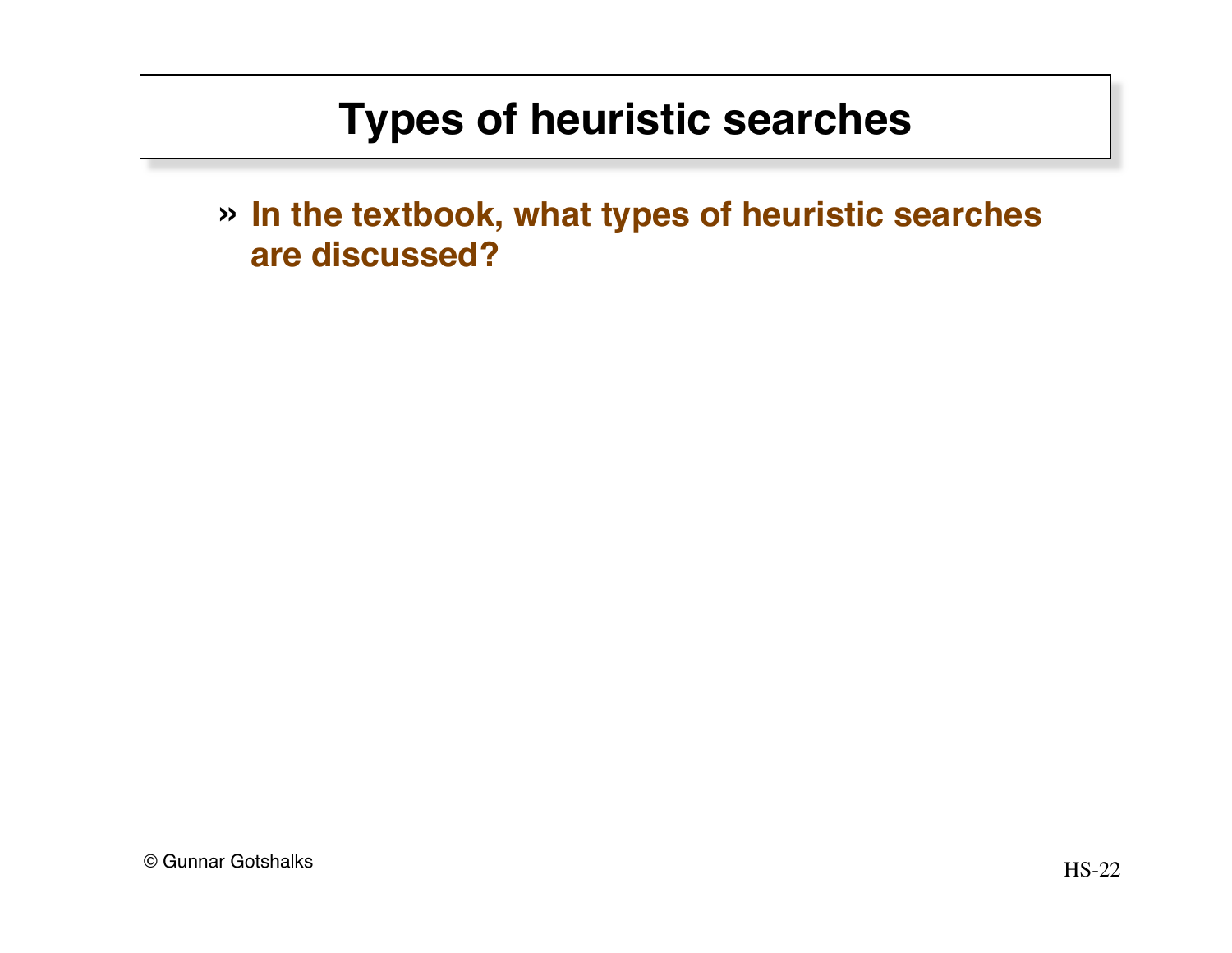» **In the textbook, what types of heuristic searches are discussed?**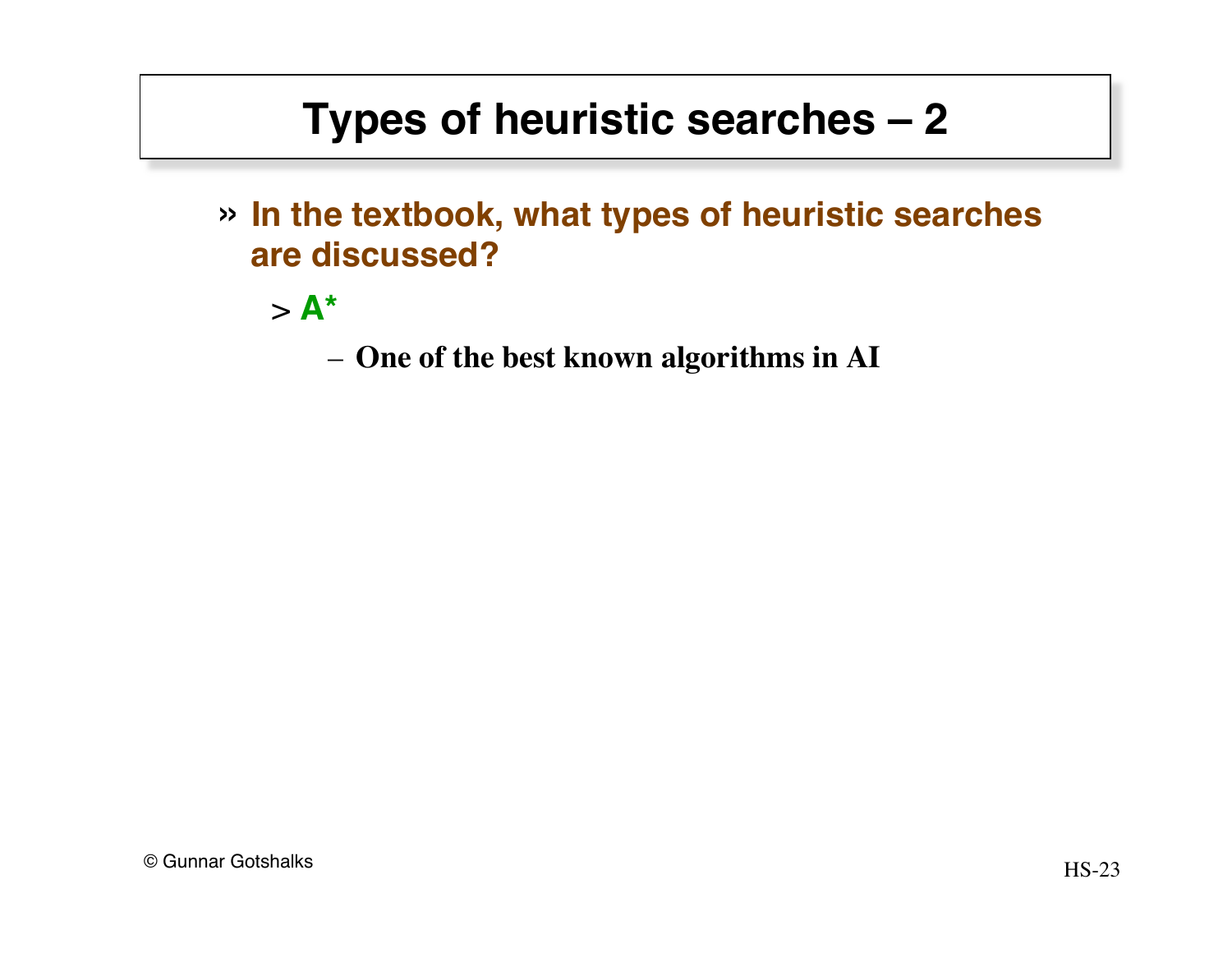» **In the textbook, what types of heuristic searches are discussed?**

 $> A^*$ 

– **One of the best known algorithms in AI**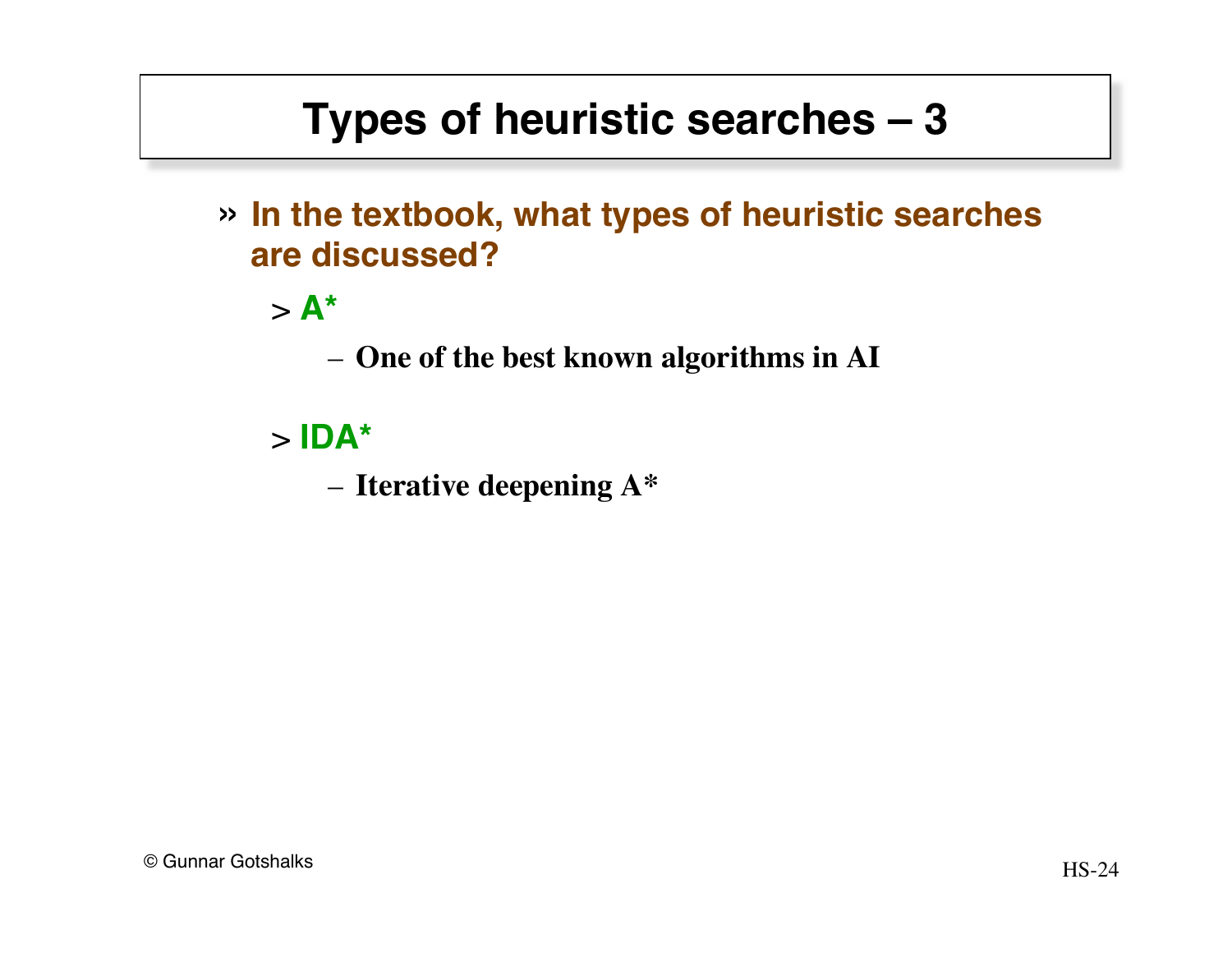» **In the textbook, what types of heuristic searches are discussed?**

 $> A^*$ 

– **One of the best known algorithms in AI**

> **IDA\***

– **Iterative deepening A\***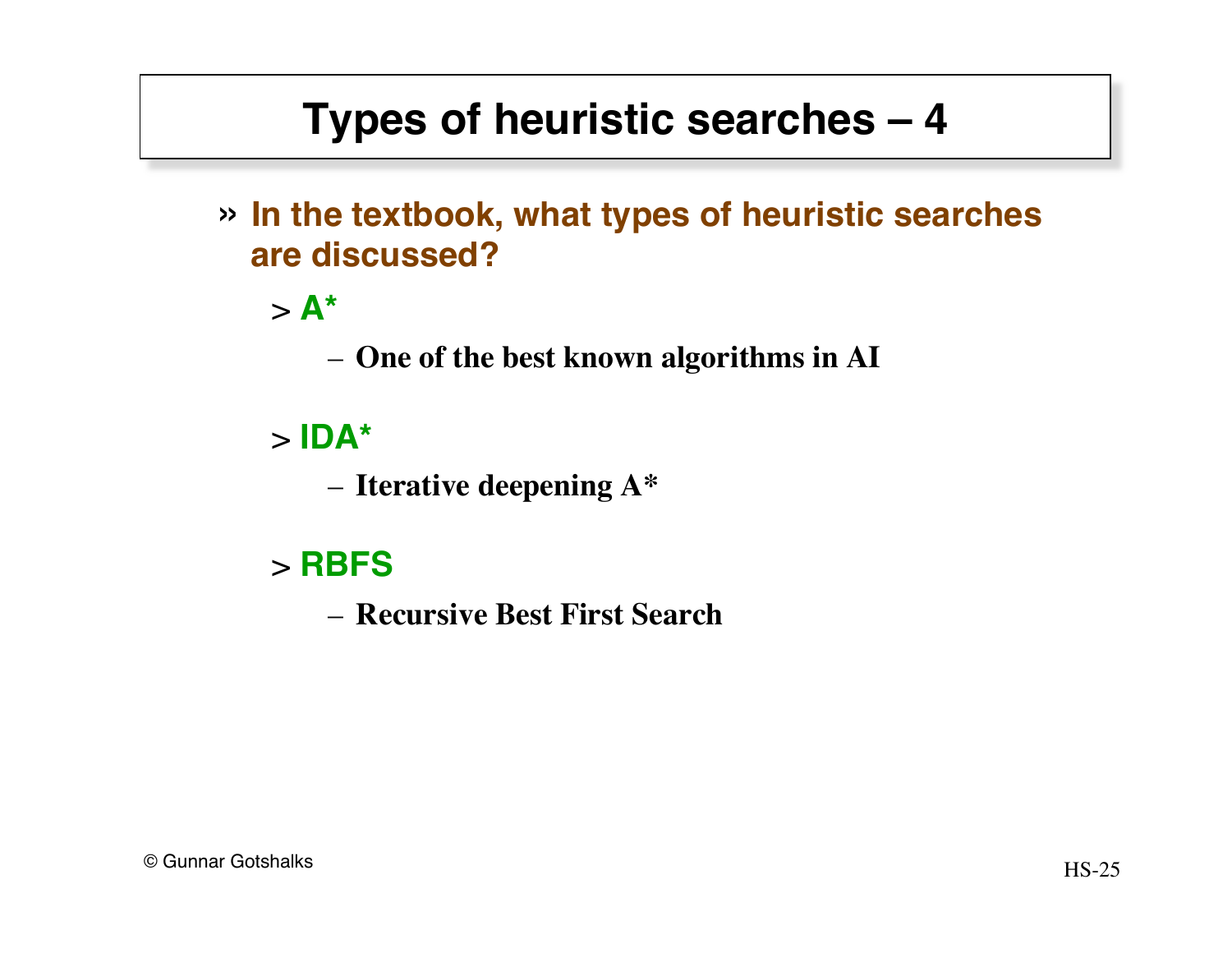» **In the textbook, what types of heuristic searches are discussed?**

 $> A^*$ 

– **One of the best known algorithms in AI**

#### > **IDA\***

– **Iterative deepening A\***

#### > **RBFS**

– **Recursive Best First Search**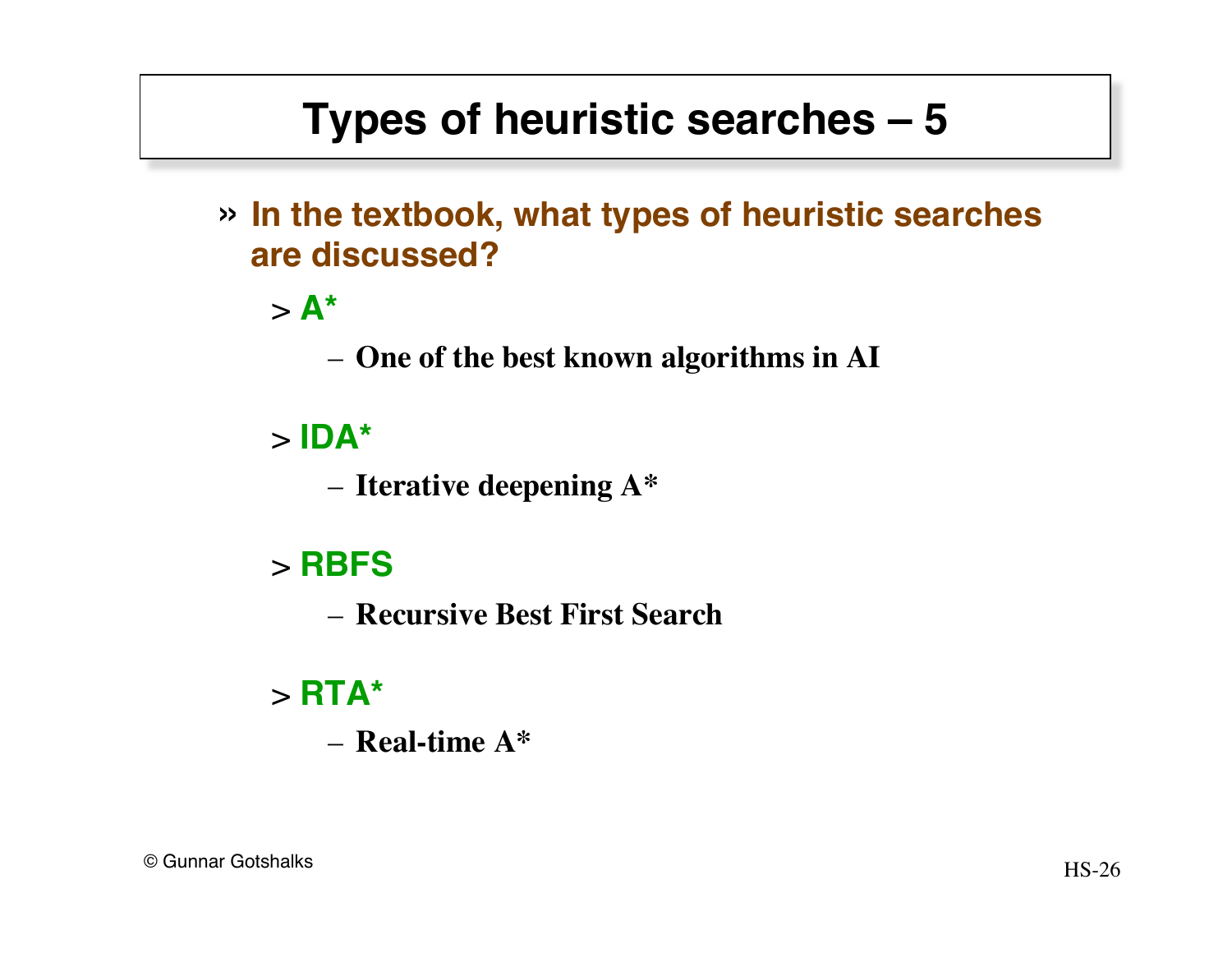» **In the textbook, what types of heuristic searches are discussed?**

 $> A^*$ 

– **One of the best known algorithms in AI**

#### > **IDA\***

– **Iterative deepening A\***

#### > **RBFS**

– **Recursive Best First Search**

#### > **RTA\***

– **Real-time A\***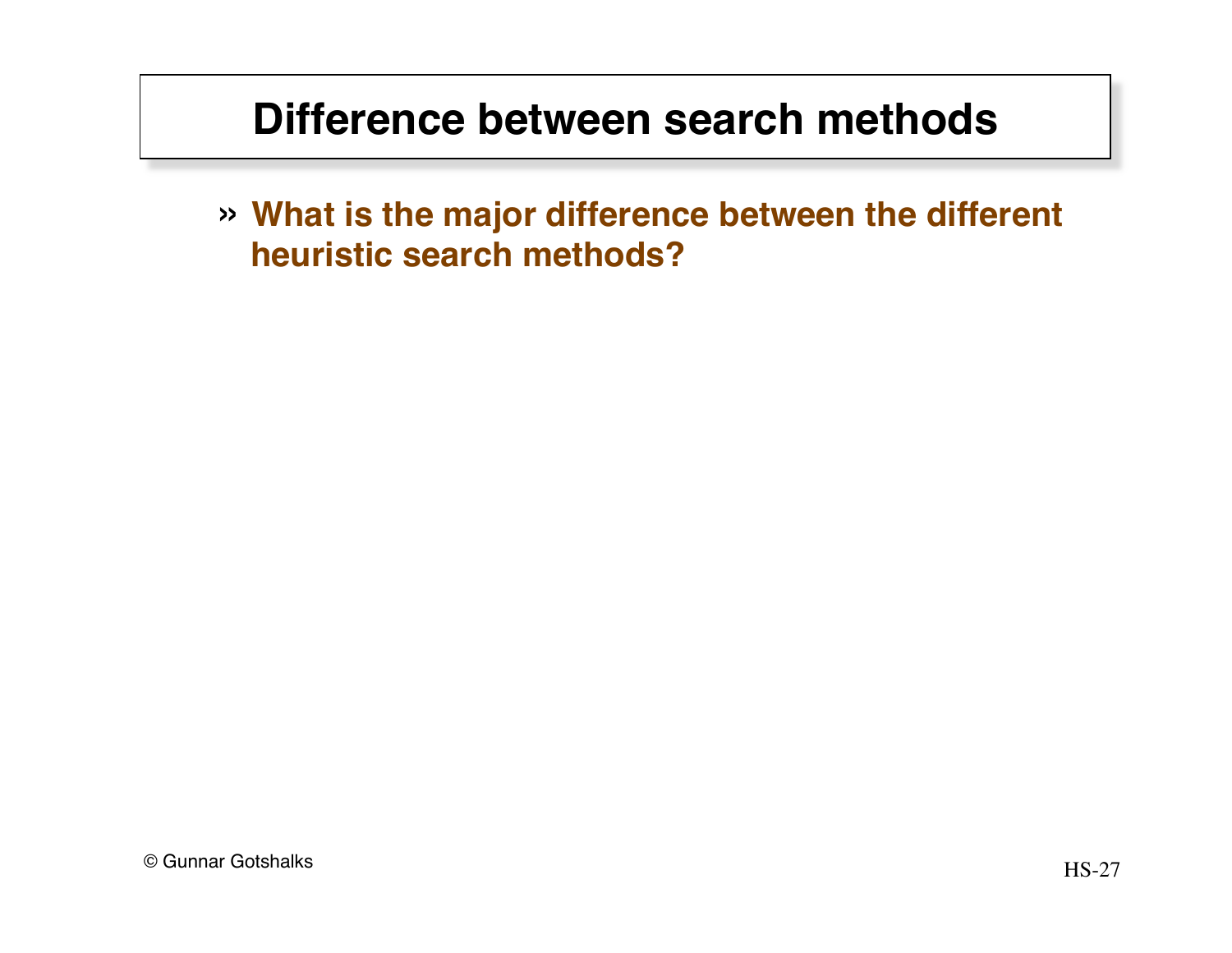## **Difference between search methods**

» **What is the major difference between the different heuristic search methods?**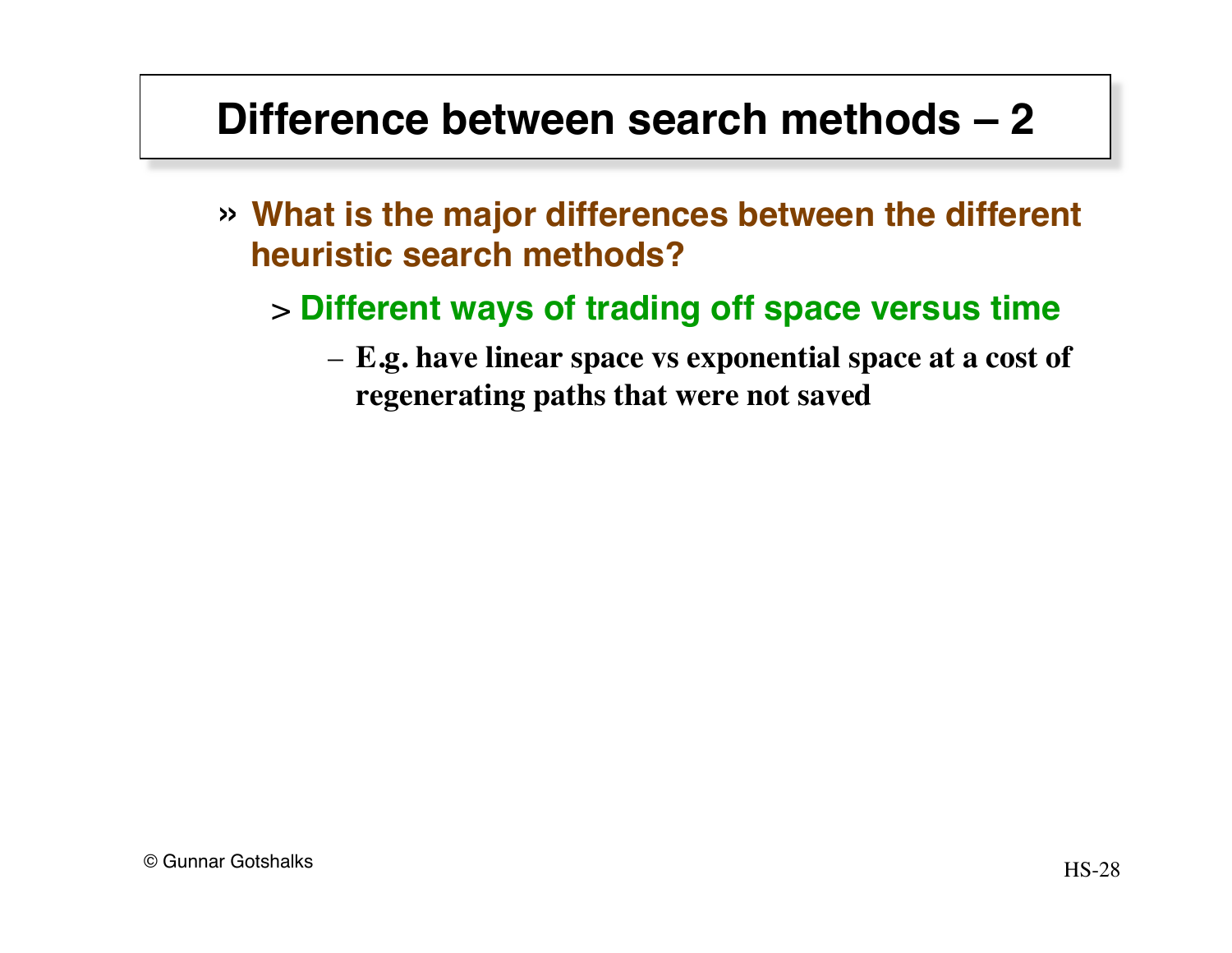## **Difference between search methods – 2**

- » **What is the major differences between the different heuristic search methods?**
	- > **Different ways of trading off space versus time**
		- **E.g. have linear space vs exponential space at a cost of regenerating paths that were not saved**